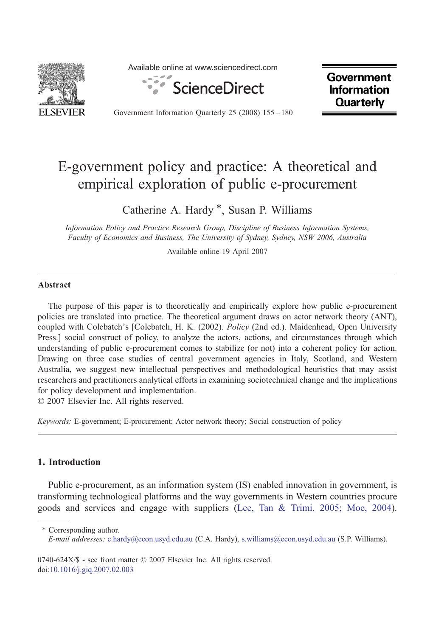

Available online at www.sciencedirect.com



**Government Information Quarterly** 

Government Information Quarterly 25 (2008) 155–180

## E-government policy and practice: A theoretical and empirical exploration of public e-procurement

Catherine A. Hardy \*, Susan P. Williams

Information Policy and Practice Research Group, Discipline of Business Information Systems, Faculty of Economics and Business, The University of Sydney, Sydney, NSW 2006, Australia

Available online 19 April 2007

## Abstract

The purpose of this paper is to theoretically and empirically explore how public e-procurement policies are translated into practice. The theoretical argument draws on actor network theory (ANT), coupled with Colebatch's [Colebatch, H. K. (2002). Policy (2nd ed.). Maidenhead, Open University Press.] social construct of policy, to analyze the actors, actions, and circumstances through which understanding of public e-procurement comes to stabilize (or not) into a coherent policy for action. Drawing on three case studies of central government agencies in Italy, Scotland, and Western Australia, we suggest new intellectual perspectives and methodological heuristics that may assist researchers and practitioners analytical efforts in examining sociotechnical change and the implications for policy development and implementation.

© 2007 Elsevier Inc. All rights reserved.

Keywords: E-government; E-procurement; Actor network theory; Social construction of policy

## 1. Introduction

Public e-procurement, as an information system (IS) enabled innovation in government, is transforming technological platforms and the way governments in Western countries procure goods and services and engage with suppliers [\(Lee, Tan & Trimi, 2005; Moe, 2004\)](#page--1-0).

⁎ Corresponding author. E-mail addresses: [c.hardy@econ.usyd.edu.au](mailto:c.hardy@econ.usyd.edu.au) (C.A. Hardy), [s.williams@econ.usyd.edu.au](mailto:s.williams@econ.usyd.edu.au) (S.P. Williams).

0740-624X/\$ - see front matter © 2007 Elsevier Inc. All rights reserved. doi[:10.1016/j.giq.2007.02.003](http://dx.doi.org/10.1016/j.giq.2007.02.003)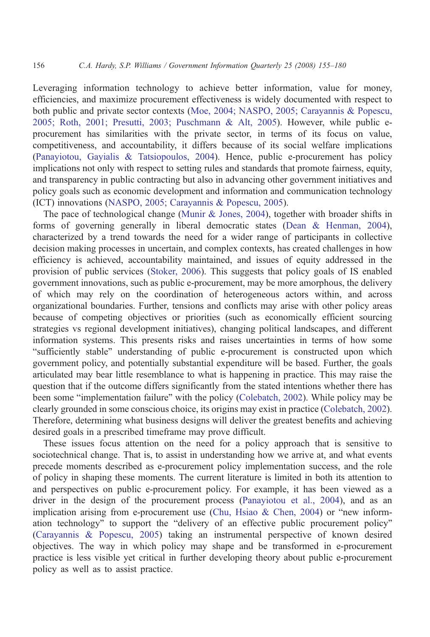Leveraging information technology to achieve better information, value for money, efficiencies, and maximize procurement effectiveness is widely documented with respect to both public and private sector contexts ([Moe, 2004; NASPO, 2005; Carayannis & Popescu,](#page--1-0) [2005; Roth, 2001; Presutti, 2003; Puschmann & Alt, 2005](#page--1-0)). However, while public eprocurement has similarities with the private sector, in terms of its focus on value, competitiveness, and accountability, it differs because of its social welfare implications ([Panayiotou, Gayialis & Tatsiopoulos, 2004\)](#page--1-0). Hence, public e-procurement has policy implications not only with respect to setting rules and standards that promote fairness, equity, and transparency in public contracting but also in advancing other government initiatives and policy goals such as economic development and information and communication technology (ICT) innovations [\(NASPO, 2005; Carayannis & Popescu, 2005](#page--1-0)).

The pace of technological change [\(Munir & Jones, 2004\)](#page--1-0), together with broader shifts in forms of governing generally in liberal democratic states [\(Dean & Henman, 2004](#page--1-0)), characterized by a trend towards the need for a wider range of participants in collective decision making processes in uncertain, and complex contexts, has created challenges in how efficiency is achieved, accountability maintained, and issues of equity addressed in the provision of public services [\(Stoker, 2006](#page--1-0)). This suggests that policy goals of IS enabled government innovations, such as public e-procurement, may be more amorphous, the delivery of which may rely on the coordination of heterogeneous actors within, and across organizational boundaries. Further, tensions and conflicts may arise with other policy areas because of competing objectives or priorities (such as economically efficient sourcing strategies vs regional development initiatives), changing political landscapes, and different information systems. This presents risks and raises uncertainties in terms of how some "sufficiently stable" understanding of public e-procurement is constructed upon which government policy, and potentially substantial expenditure will be based. Further, the goals articulated may bear little resemblance to what is happening in practice. This may raise the question that if the outcome differs significantly from the stated intentions whether there has been some "implementation failure" with the policy ([Colebatch, 2002](#page--1-0)). While policy may be clearly grounded in some conscious choice, its origins may exist in practice [\(Colebatch, 2002](#page--1-0)). Therefore, determining what business designs will deliver the greatest benefits and achieving desired goals in a prescribed timeframe may prove difficult.

These issues focus attention on the need for a policy approach that is sensitive to sociotechnical change. That is, to assist in understanding how we arrive at, and what events precede moments described as e-procurement policy implementation success, and the role of policy in shaping these moments. The current literature is limited in both its attention to and perspectives on public e-procurement policy. For example, it has been viewed as a driver in the design of the procurement process [\(Panayiotou et al., 2004](#page--1-0)), and as an implication arising from e-procurement use ([Chu, Hsiao & Chen, 2004](#page--1-0)) or "new information technology" to support the "delivery of an effective public procurement policy" ([Carayannis & Popescu, 2005\)](#page--1-0) taking an instrumental perspective of known desired objectives. The way in which policy may shape and be transformed in e-procurement practice is less visible yet critical in further developing theory about public e-procurement policy as well as to assist practice.